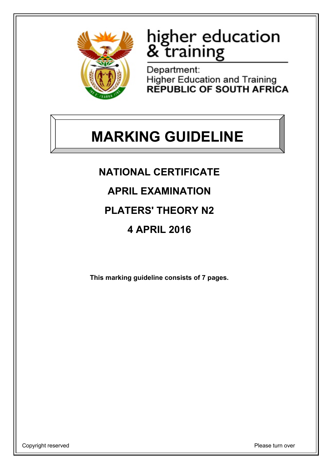

# higher education<br>& training

Department: **Higher Education and Training REPUBLIC OF SOUTH AFRICA** 

# **MARKING GUIDELINE**

**NATIONAL CERTIFICATE**

**APRIL EXAMINATION**

**PLATERS' THEORY N2**

**4 APRIL 2016**

**This marking guideline consists of 7 pages.**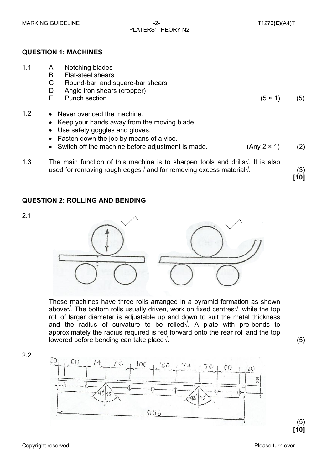## PLATERS' THEORY N2

#### **QUESTION 1: MACHINES**

| 1.1 | A                                                                                                                                                                                  | Notching blades                                                                                                                                                 |                    |             |
|-----|------------------------------------------------------------------------------------------------------------------------------------------------------------------------------------|-----------------------------------------------------------------------------------------------------------------------------------------------------------------|--------------------|-------------|
|     | B                                                                                                                                                                                  | <b>Flat-steel shears</b>                                                                                                                                        |                    |             |
|     | C                                                                                                                                                                                  | Round-bar and square-bar shears                                                                                                                                 |                    |             |
|     | D                                                                                                                                                                                  | Angle iron shears (cropper)                                                                                                                                     |                    |             |
|     | E.                                                                                                                                                                                 | <b>Punch section</b>                                                                                                                                            | $(5 \times 1)$     | (5)         |
| 1.2 |                                                                                                                                                                                    | • Never overload the machine.<br>• Keep your hands away from the moving blade.<br>• Use safety goggles and gloves.<br>• Fasten down the job by means of a vice. |                    |             |
|     |                                                                                                                                                                                    | • Switch off the machine before adjustment is made.                                                                                                             | $(Any 2 \times 1)$ | (2)         |
| 1.3 | The main function of this machine is to sharpen tools and drills $\sqrt{ }$ . It is also<br>used for removing rough edges $\sqrt{ }$ and for removing excess material $\sqrt{ }$ . |                                                                                                                                                                 |                    | (3)<br>[10] |
|     |                                                                                                                                                                                    |                                                                                                                                                                 |                    |             |

#### **QUESTION 2: ROLLING AND BENDING**



These machines have three rolls arranged in a pyramid formation as shown above√. The bottom rolls usually driven, work on fixed centres√, while the top roll of larger diameter is adjustable up and down to suit the metal thickness and the radius of curvature to be rolled√. A plate with pre-bends to approximately the radius required is fed forward onto the rear roll and the top lowered before bending can take place√. (5)

2.2

2.1

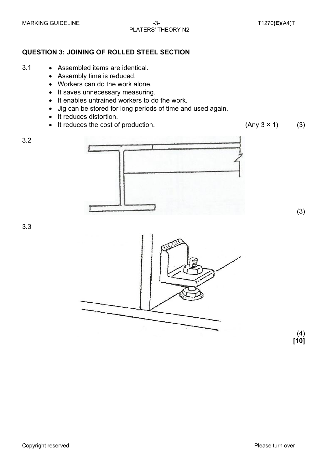#### **QUESTION 3: JOINING OF ROLLED STEEL SECTION**

- 3.1 Assembled items are identical.
	- Assembly time is reduced.
	- Workers can do the work alone.
	- It saves unnecessary measuring.
	- It enables untrained workers to do the work.
	- Jig can be stored for long periods of time and used again.
	- It reduces distortion.
	- It reduces the cost of production.  $(Any\ 3 \times 1)$  (3)



(3)

3.3



 (4) **[10]**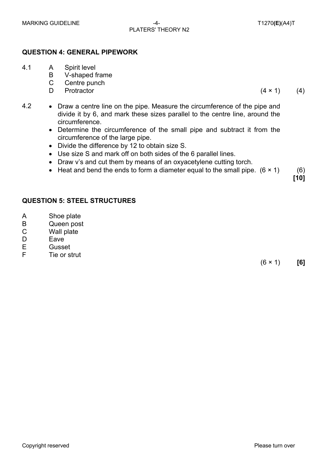### PLATERS' THEORY N2

#### **QUESTION 4: GENERAL PIPEWORK**

- 4.1 A Spirit level
	- B V-shaped frame
	- C Centre punch
	- D.

Protractor  $(4 \times 1)$  (4)

- 4.2 Draw a centre line on the pipe. Measure the circumference of the pipe and divide it by 6, and mark these sizes parallel to the centre line, around the circumference.
	- Determine the circumference of the small pipe and subtract it from the circumference of the large pipe.
	- Divide the difference by 12 to obtain size S.
	- Use size S and mark off on both sides of the 6 parallel lines.
	- Draw v's and cut them by means of an oxyacetylene cutting torch.
	- Heat and bend the ends to form a diameter equal to the small pipe.  $(6 \times 1)$  (6)

**QUESTION 5: STEEL STRUCTURES**

- A Shoe plate
- B Queen post
- C Wall plate
- D Eave
- E **Gusset**
- F Tie or strut

(6 × 1) **[6]**

**[10]**

Copyright reserved **Please turn over the Copyright reserved** Please turn over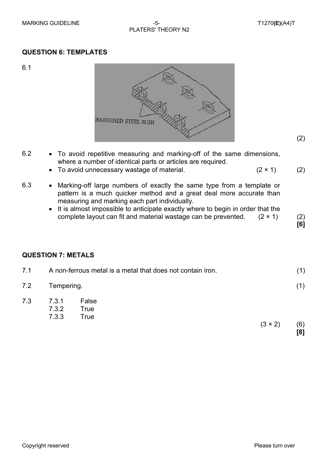#### **QUESTION 6: TEMPLATES**

6.1



- 6.2 To avoid repetitive measuring and marking-off of the same dimensions, where a number of identical parts or articles are required.
	- To avoid unnecessary wastage of material.  $(2 \times 1)$  (2)
		-
- 6.3 Marking-off large numbers of exactly the same type from a template or pattern is a much quicker method and a great deal more accurate than measuring and marking each part individually.
	- It is almost impossible to anticipate exactly where to begin in order that the complete layout can fit and material wastage can be prevented.  $(2 \times 1)$  (2)

**[6]**

(2)

#### **QUESTION 7: METALS**

| 7.1 |                         | A non-ferrous metal is a metal that does not contain iron.<br>(1) |                |            |
|-----|-------------------------|-------------------------------------------------------------------|----------------|------------|
| 7.2 | Tempering.              |                                                                   |                |            |
| 7.3 | 7.3.1<br>7.3.2<br>7.3.3 | False<br><b>True</b><br>True                                      | $(3 \times 2)$ | (6)<br>[8] |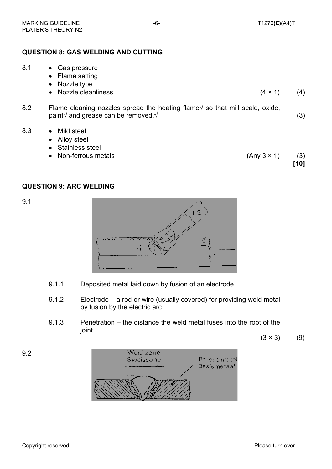#### **QUESTION 8: GAS WELDING AND CUTTING**

| 8.1 | • Gas pressure<br>• Flame setting<br>• Nozzle type                                                                                           |                    |             |
|-----|----------------------------------------------------------------------------------------------------------------------------------------------|--------------------|-------------|
|     | • Nozzle cleanliness                                                                                                                         | $(4 \times 1)$     | (4)         |
| 8.2 | Flame cleaning nozzles spread the heating flame $\sqrt$ so that mill scale, oxide,<br>paint $\sqrt{ }$ and grease can be removed. $\sqrt{ }$ |                    | (3)         |
| 8.3 | Mild steel<br>$\bullet$<br>• Alloy steel<br>• Stainless steel<br>• Non-ferrous metals                                                        | $(Any 3 \times 1)$ | (3)<br>[10] |

#### **QUESTION 9: ARC WELDING**

9.1



- 9.1.1 Deposited metal laid down by fusion of an electrode
- 9.1.2 Electrode a rod or wire (usually covered) for providing weld metal by fusion by the electric arc
- 9.1.3 Penetration the distance the weld metal fuses into the root of the joint

 $(3 \times 3)$  (9)

9.2